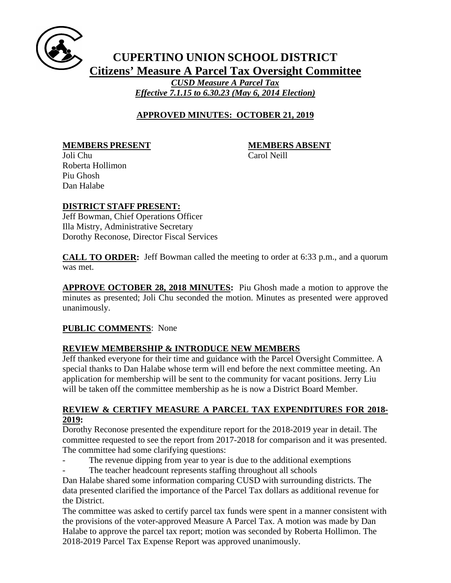

# **CUPERTINO UNION SCHOOL DISTRICT Citizens' Measure A Parcel Tax Oversight Committee** *CUSD Measure A Parcel Tax Effective 7.1.15 to 6.30.23 (May 6, 2014 Election)*

## **APPROVED MINUTES: OCTOBER 21, 2019**

**MEMBERS PRESENT MEMBERS ABSENT**

Joli Chu Carol Neill Roberta Hollimon Piu Ghosh Dan Halabe

# **DISTRICT STAFF PRESENT:**

Jeff Bowman, Chief Operations Officer Illa Mistry, Administrative Secretary Dorothy Reconose, Director Fiscal Services

**CALL TO ORDER:** Jeff Bowman called the meeting to order at 6:33 p.m., and a quorum was met.

**APPROVE OCTOBER 28, 2018 MINUTES:** Piu Ghosh made a motion to approve the minutes as presented; Joli Chu seconded the motion. Minutes as presented were approved unanimously.

## **PUBLIC COMMENTS**: None

## **REVIEW MEMBERSHIP & INTRODUCE NEW MEMBERS**

Jeff thanked everyone for their time and guidance with the Parcel Oversight Committee. A special thanks to Dan Halabe whose term will end before the next committee meeting. An application for membership will be sent to the community for vacant positions. Jerry Liu will be taken off the committee membership as he is now a District Board Member.

### **REVIEW & CERTIFY MEASURE A PARCEL TAX EXPENDITURES FOR 2018- 2019:**

Dorothy Reconose presented the expenditure report for the 2018-2019 year in detail. The committee requested to see the report from 2017-2018 for comparison and it was presented. The committee had some clarifying questions:

- The revenue dipping from year to year is due to the additional exemptions
	- The teacher headcount represents staffing throughout all schools

Dan Halabe shared some information comparing CUSD with surrounding districts. The data presented clarified the importance of the Parcel Tax dollars as additional revenue for the District.

The committee was asked to certify parcel tax funds were spent in a manner consistent with the provisions of the voter-approved Measure A Parcel Tax. A motion was made by Dan Halabe to approve the parcel tax report; motion was seconded by Roberta Hollimon. The 2018-2019 Parcel Tax Expense Report was approved unanimously.